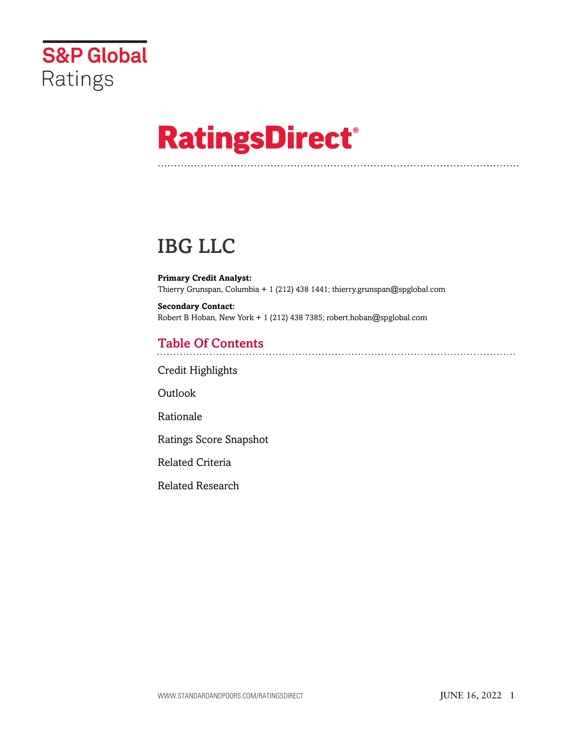

# **RatingsDirect®**

## IBG LLC

**Primary Credit Analyst:** Thierry Grunspan, Columbia + 1 (212) 438 1441; thierry.grunspan@spglobal.com

**Secondary Contact:** Robert B Hoban, New York + 1 (212) 438 7385; robert.hoban@spglobal.com

## Table Of Contents

[Credit Highlights](#page-1-0)

[Outlook](#page-1-1)

[Rationale](#page-1-2)

[Ratings Score Snapshot](#page-8-0)

[Related Criteria](#page-8-1)

[Related Research](#page-9-0)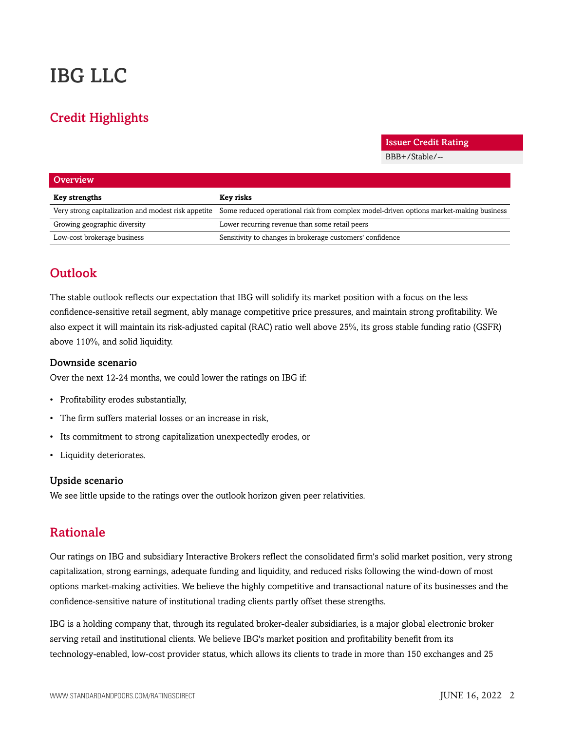## IBG LLC

## <span id="page-1-0"></span>Credit Highlights

Issuer Credit Rating

BBB+/Stable/--

| Overview                     |                                                                                                                                            |
|------------------------------|--------------------------------------------------------------------------------------------------------------------------------------------|
| Key strengths                | Key risks                                                                                                                                  |
|                              | Very strong capitalization and modest risk appetite Some reduced operational risk from complex model-driven options market-making business |
| Growing geographic diversity | Lower recurring revenue than some retail peers                                                                                             |
| Low-cost brokerage business  | Sensitivity to changes in brokerage customers' confidence                                                                                  |

## <span id="page-1-1"></span>**Outlook**

The stable outlook reflects our expectation that IBG will solidify its market position with a focus on the less confidence-sensitive retail segment, ably manage competitive price pressures, and maintain strong profitability. We also expect it will maintain its risk-adjusted capital (RAC) ratio well above 25%, its gross stable funding ratio (GSFR) above 110%, and solid liquidity.

#### Downside scenario

Over the next 12-24 months, we could lower the ratings on IBG if:

- Profitability erodes substantially,
- The firm suffers material losses or an increase in risk,
- Its commitment to strong capitalization unexpectedly erodes, or
- Liquidity deteriorates.

#### Upside scenario

<span id="page-1-2"></span>We see little upside to the ratings over the outlook horizon given peer relativities.

## Rationale

Our ratings on IBG and subsidiary Interactive Brokers reflect the consolidated firm's solid market position, very strong capitalization, strong earnings, adequate funding and liquidity, and reduced risks following the wind-down of most options market-making activities. We believe the highly competitive and transactional nature of its businesses and the confidence-sensitive nature of institutional trading clients partly offset these strengths.

IBG is a holding company that, through its regulated broker-dealer subsidiaries, is a major global electronic broker serving retail and institutional clients. We believe IBG's market position and profitability benefit from its technology-enabled, low-cost provider status, which allows its clients to trade in more than 150 exchanges and 25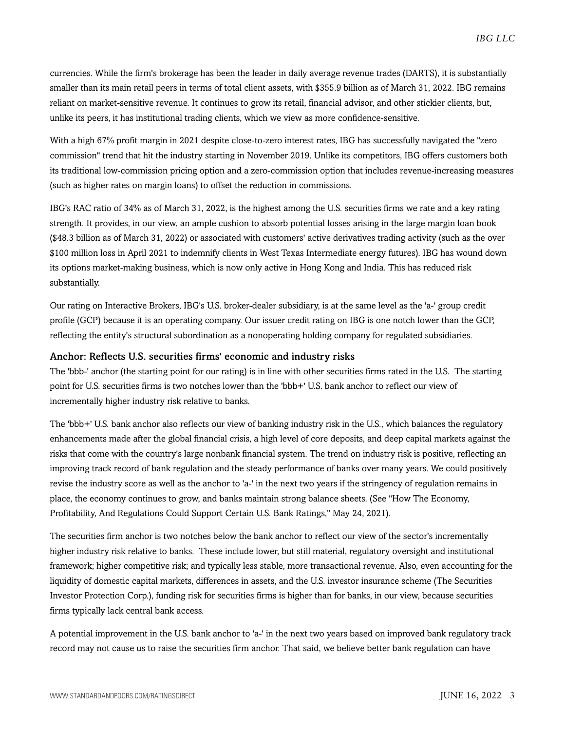currencies. While the firm's brokerage has been the leader in daily average revenue trades (DARTS), it is substantially smaller than its main retail peers in terms of total client assets, with \$355.9 billion as of March 31, 2022. IBG remains reliant on market-sensitive revenue. It continues to grow its retail, financial advisor, and other stickier clients, but, unlike its peers, it has institutional trading clients, which we view as more confidence-sensitive.

With a high 67% profit margin in 2021 despite close-to-zero interest rates, IBG has successfully navigated the "zero commission" trend that hit the industry starting in November 2019. Unlike its competitors, IBG offers customers both its traditional low-commission pricing option and a zero-commission option that includes revenue-increasing measures (such as higher rates on margin loans) to offset the reduction in commissions.

IBG's RAC ratio of 34% as of March 31, 2022, is the highest among the U.S. securities firms we rate and a key rating strength. It provides, in our view, an ample cushion to absorb potential losses arising in the large margin loan book (\$48.3 billion as of March 31, 2022) or associated with customers' active derivatives trading activity (such as the over \$100 million loss in April 2021 to indemnify clients in West Texas Intermediate energy futures). IBG has wound down its options market-making business, which is now only active in Hong Kong and India. This has reduced risk substantially.

Our rating on Interactive Brokers, IBG's U.S. broker-dealer subsidiary, is at the same level as the 'a-' group credit profile (GCP) because it is an operating company. Our issuer credit rating on IBG is one notch lower than the GCP, reflecting the entity's structural subordination as a nonoperating holding company for regulated subsidiaries.

#### Anchor: Reflects U.S. securities firms' economic and industry risks

The 'bbb-' anchor (the starting point for our rating) is in line with other securities firms rated in the U.S. The starting point for U.S. securities firms is two notches lower than the 'bbb+' U.S. bank anchor to reflect our view of incrementally higher industry risk relative to banks.

The 'bbb+' U.S. bank anchor also reflects our view of banking industry risk in the U.S., which balances the regulatory enhancements made after the global financial crisis, a high level of core deposits, and deep capital markets against the risks that come with the country's large nonbank financial system. The trend on industry risk is positive, reflecting an improving track record of bank regulation and the steady performance of banks over many years. We could positively revise the industry score as well as the anchor to 'a-' in the next two years if the stringency of regulation remains in place, the economy continues to grow, and banks maintain strong balance sheets. (See "How The Economy, Profitability, And Regulations Could Support Certain U.S. Bank Ratings," May 24, 2021).

The securities firm anchor is two notches below the bank anchor to reflect our view of the sector's incrementally higher industry risk relative to banks. These include lower, but still material, regulatory oversight and institutional framework; higher competitive risk; and typically less stable, more transactional revenue. Also, even accounting for the liquidity of domestic capital markets, differences in assets, and the U.S. investor insurance scheme (The Securities Investor Protection Corp.), funding risk for securities firms is higher than for banks, in our view, because securities firms typically lack central bank access.

A potential improvement in the U.S. bank anchor to 'a-' in the next two years based on improved bank regulatory track record may not cause us to raise the securities firm anchor. That said, we believe better bank regulation can have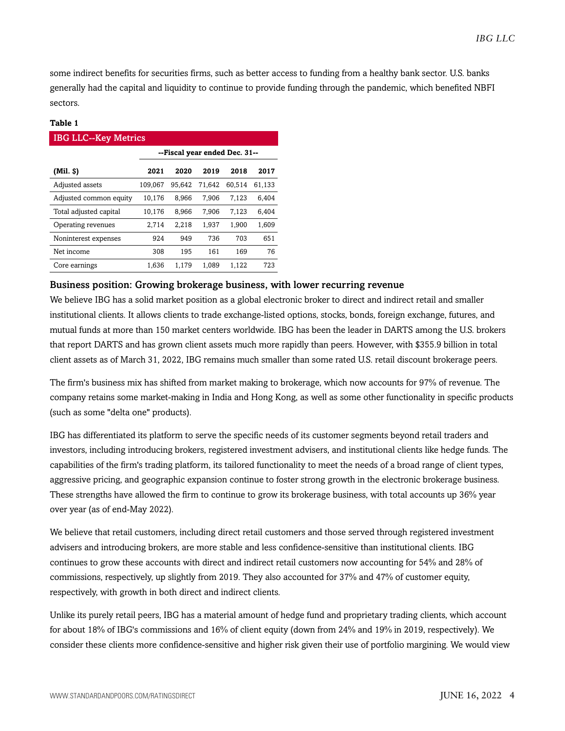some indirect benefits for securities firms, such as better access to funding from a healthy bank sector. U.S. banks generally had the capital and liquidity to continue to provide funding through the pandemic, which benefited NBFI sectors.

#### **Table 1**

| <b>IBG LLC--Key Metrics</b> |                               |        |        |        |        |  |  |
|-----------------------------|-------------------------------|--------|--------|--------|--------|--|--|
|                             | --Fiscal year ended Dec. 31-- |        |        |        |        |  |  |
| $(Mil.$ \$)                 | 2021                          | 2020   | 2019   | 2018   | 2017   |  |  |
| Adjusted assets             | 109,067                       | 95.642 | 71.642 | 60,514 | 61,133 |  |  |
| Adjusted common equity      | 10,176                        | 8.966  | 7.906  | 7.123  | 6.404  |  |  |
| Total adjusted capital      | 10,176                        | 8,966  | 7,906  | 7.123  | 6,404  |  |  |
| Operating revenues          | 2,714                         | 2,218  | 1,937  | 1,900  | 1,609  |  |  |
| Noninterest expenses        | 924                           | 949    | 736    | 703    | 651    |  |  |
| Net income                  | 308                           | 195    | 161    | 169    | 76     |  |  |
| Core earnings               | 1.636                         | 1.179  | 1.089  | 1,122  | 723    |  |  |

#### Business position: Growing brokerage business, with lower recurring revenue

We believe IBG has a solid market position as a global electronic broker to direct and indirect retail and smaller institutional clients. It allows clients to trade exchange-listed options, stocks, bonds, foreign exchange, futures, and mutual funds at more than 150 market centers worldwide. IBG has been the leader in DARTS among the U.S. brokers that report DARTS and has grown client assets much more rapidly than peers. However, with \$355.9 billion in total client assets as of March 31, 2022, IBG remains much smaller than some rated U.S. retail discount brokerage peers.

The firm's business mix has shifted from market making to brokerage, which now accounts for 97% of revenue. The company retains some market-making in India and Hong Kong, as well as some other functionality in specific products (such as some "delta one" products).

IBG has differentiated its platform to serve the specific needs of its customer segments beyond retail traders and investors, including introducing brokers, registered investment advisers, and institutional clients like hedge funds. The capabilities of the firm's trading platform, its tailored functionality to meet the needs of a broad range of client types, aggressive pricing, and geographic expansion continue to foster strong growth in the electronic brokerage business. These strengths have allowed the firm to continue to grow its brokerage business, with total accounts up 36% year over year (as of end-May 2022).

We believe that retail customers, including direct retail customers and those served through registered investment advisers and introducing brokers, are more stable and less confidence-sensitive than institutional clients. IBG continues to grow these accounts with direct and indirect retail customers now accounting for 54% and 28% of commissions, respectively, up slightly from 2019. They also accounted for 37% and 47% of customer equity, respectively, with growth in both direct and indirect clients.

Unlike its purely retail peers, IBG has a material amount of hedge fund and proprietary trading clients, which account for about 18% of IBG's commissions and 16% of client equity (down from 24% and 19% in 2019, respectively). We consider these clients more confidence-sensitive and higher risk given their use of portfolio margining. We would view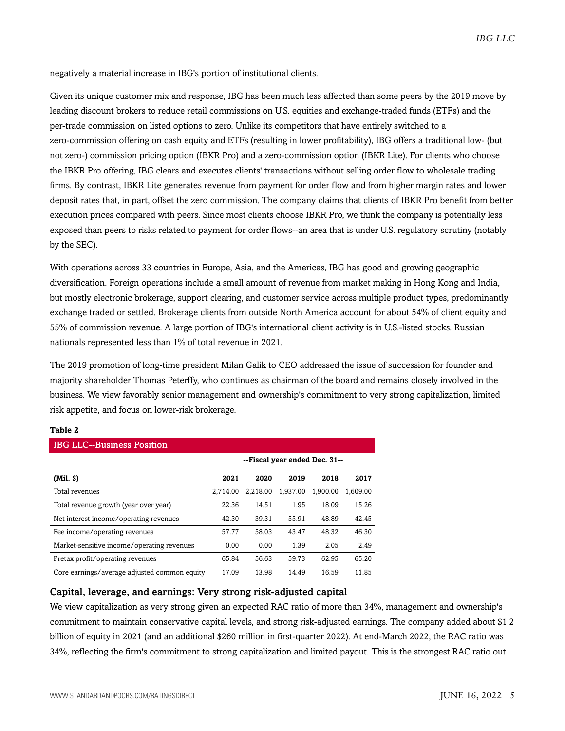negatively a material increase in IBG's portion of institutional clients.

Given its unique customer mix and response, IBG has been much less affected than some peers by the 2019 move by leading discount brokers to reduce retail commissions on U.S. equities and exchange-traded funds (ETFs) and the per-trade commission on listed options to zero. Unlike its competitors that have entirely switched to a zero-commission offering on cash equity and ETFs (resulting in lower profitability), IBG offers a traditional low- (but not zero-) commission pricing option (IBKR Pro) and a zero-commission option (IBKR Lite). For clients who choose the IBKR Pro offering, IBG clears and executes clients' transactions without selling order flow to wholesale trading firms. By contrast, IBKR Lite generates revenue from payment for order flow and from higher margin rates and lower deposit rates that, in part, offset the zero commission. The company claims that clients of IBKR Pro benefit from better execution prices compared with peers. Since most clients choose IBKR Pro, we think the company is potentially less exposed than peers to risks related to payment for order flows--an area that is under U.S. regulatory scrutiny (notably by the SEC).

With operations across 33 countries in Europe, Asia, and the Americas, IBG has good and growing geographic diversification. Foreign operations include a small amount of revenue from market making in Hong Kong and India, but mostly electronic brokerage, support clearing, and customer service across multiple product types, predominantly exchange traded or settled. Brokerage clients from outside North America account for about 54% of client equity and 55% of commission revenue. A large portion of IBG's international client activity is in U.S.-listed stocks. Russian nationals represented less than 1% of total revenue in 2021.

The 2019 promotion of long-time president Milan Galik to CEO addressed the issue of succession for founder and majority shareholder Thomas Peterffy, who continues as chairman of the board and remains closely involved in the business. We view favorably senior management and ownership's commitment to very strong capitalization, limited risk appetite, and focus on lower-risk brokerage.

#### **Table 2**

| <b>IBG LLC--Business Position</b>            |                               |          |          |          |          |  |  |  |
|----------------------------------------------|-------------------------------|----------|----------|----------|----------|--|--|--|
|                                              | --Fiscal year ended Dec. 31-- |          |          |          |          |  |  |  |
| $(Mil.$ $\vartheta)$                         | 2021                          | 2020     | 2019     | 2018     | 2017     |  |  |  |
| Total revenues                               | 2.714.00                      | 2.218.00 | 1.937.00 | 1.900.00 | 1.609.00 |  |  |  |
| Total revenue growth (year over year)        | 22.36                         | 14.51    | 1.95     | 18.09    | 15.26    |  |  |  |
| Net interest income/operating revenues       | 42.30                         | 39.31    | 55.91    | 48.89    | 42.45    |  |  |  |
| Fee income/operating revenues                | 57.77                         | 58.03    | 43.47    | 48.32    | 46.30    |  |  |  |
| Market-sensitive income/operating revenues   | 0.00                          | 0.00     | 1.39     | 2.05     | 2.49     |  |  |  |
| Pretax profit/operating revenues             | 65.84                         | 56.63    | 59.73    | 62.95    | 65.20    |  |  |  |
| Core earnings/average adjusted common equity | 17.09                         | 13.98    | 14.49    | 16.59    | 11.85    |  |  |  |

#### Capital, leverage, and earnings: Very strong risk-adjusted capital

We view capitalization as very strong given an expected RAC ratio of more than 34%, management and ownership's commitment to maintain conservative capital levels, and strong risk-adjusted earnings. The company added about \$1.2 billion of equity in 2021 (and an additional \$260 million in first-quarter 2022). At end-March 2022, the RAC ratio was 34%, reflecting the firm's commitment to strong capitalization and limited payout. This is the strongest RAC ratio out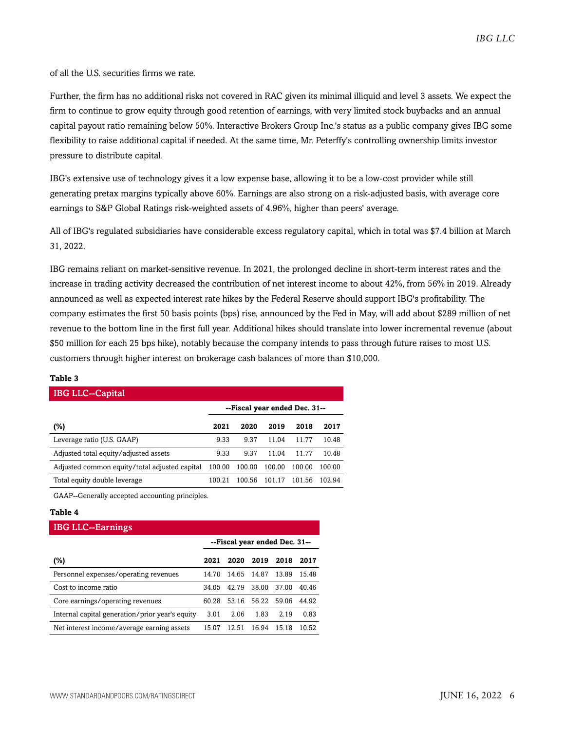of all the U.S. securities firms we rate.

Further, the firm has no additional risks not covered in RAC given its minimal illiquid and level 3 assets. We expect the firm to continue to grow equity through good retention of earnings, with very limited stock buybacks and an annual capital payout ratio remaining below 50%. Interactive Brokers Group Inc.'s status as a public company gives IBG some flexibility to raise additional capital if needed. At the same time, Mr. Peterffy's controlling ownership limits investor pressure to distribute capital.

IBG's extensive use of technology gives it a low expense base, allowing it to be a low-cost provider while still generating pretax margins typically above 60%. Earnings are also strong on a risk-adjusted basis, with average core earnings to S&P Global Ratings risk-weighted assets of 4.96%, higher than peers' average.

All of IBG's regulated subsidiaries have considerable excess regulatory capital, which in total was \$7.4 billion at March 31, 2022.

IBG remains reliant on market-sensitive revenue. In 2021, the prolonged decline in short-term interest rates and the increase in trading activity decreased the contribution of net interest income to about 42%, from 56% in 2019. Already announced as well as expected interest rate hikes by the Federal Reserve should support IBG's profitability. The company estimates the first 50 basis points (bps) rise, announced by the Fed in May, will add about \$289 million of net revenue to the bottom line in the first full year. Additional hikes should translate into lower incremental revenue (about \$50 million for each 25 bps hike), notably because the company intends to pass through future raises to most U.S. customers through higher interest on brokerage cash balances of more than \$10,000.

#### **Table 3**

| <b>IBG LLC--Capital</b>                       |                               |        |        |        |        |
|-----------------------------------------------|-------------------------------|--------|--------|--------|--------|
|                                               | --Fiscal year ended Dec. 31-- |        |        |        |        |
| (%)                                           | 2021                          | 2020   | 2019   | 2018   | 2017   |
| Leverage ratio (U.S. GAAP)                    | 9.33                          | 9.37   | 11 04  | 11 77  | 10.48  |
| Adjusted total equity/adjusted assets         | 9.33                          | 9.37   | 11.04  | 11.77  | 10.48  |
| Adjusted common equity/total adjusted capital | 100.00                        | 100.00 | 100.00 | 100.00 | 100.00 |
| Total equity double leverage                  | 100.21                        | 100.56 | 101.17 | 101.56 | 102.94 |

GAAP--Generally accepted accounting principles.

#### **Table 4**

 $InQIIQ-F$ 

| <b>IDA FFC--F91 IIIII52</b>                     |                               |       |       |       |       |
|-------------------------------------------------|-------------------------------|-------|-------|-------|-------|
|                                                 | --Fiscal year ended Dec. 31-- |       |       |       |       |
| (%)                                             | 2021                          | 2020  | 2019  | 2018  | 2017  |
| Personnel expenses/operating revenues           | 14.70                         | 14.65 | 14.87 | 13.89 | 15.48 |
| Cost to income ratio                            | 34.05                         | 42.79 | 38.00 | 37.00 | 40.46 |
| Core earnings/operating revenues                | 60.28                         | 53.16 | 56.22 | 59.06 | 44.92 |
| Internal capital generation/prior year's equity | 3.01                          | 2.06  | 1.83  | 2.19  | 0.83  |
| Net interest income/average earning assets      | 15 07                         | 12.51 | 16.94 | 15.18 | 10.52 |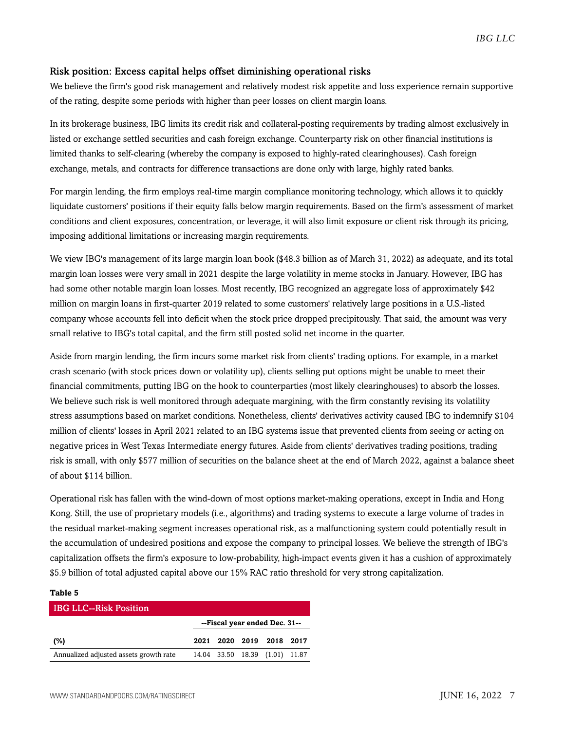#### Risk position: Excess capital helps offset diminishing operational risks

We believe the firm's good risk management and relatively modest risk appetite and loss experience remain supportive of the rating, despite some periods with higher than peer losses on client margin loans.

In its brokerage business, IBG limits its credit risk and collateral-posting requirements by trading almost exclusively in listed or exchange settled securities and cash foreign exchange. Counterparty risk on other financial institutions is limited thanks to self-clearing (whereby the company is exposed to highly-rated clearinghouses). Cash foreign exchange, metals, and contracts for difference transactions are done only with large, highly rated banks.

For margin lending, the firm employs real-time margin compliance monitoring technology, which allows it to quickly liquidate customers' positions if their equity falls below margin requirements. Based on the firm's assessment of market conditions and client exposures, concentration, or leverage, it will also limit exposure or client risk through its pricing, imposing additional limitations or increasing margin requirements.

We view IBG's management of its large margin loan book (\$48.3 billion as of March 31, 2022) as adequate, and its total margin loan losses were very small in 2021 despite the large volatility in meme stocks in January. However, IBG has had some other notable margin loan losses. Most recently, IBG recognized an aggregate loss of approximately \$42 million on margin loans in first-quarter 2019 related to some customers' relatively large positions in a U.S.-listed company whose accounts fell into deficit when the stock price dropped precipitously. That said, the amount was very small relative to IBG's total capital, and the firm still posted solid net income in the quarter.

Aside from margin lending, the firm incurs some market risk from clients' trading options. For example, in a market crash scenario (with stock prices down or volatility up), clients selling put options might be unable to meet their financial commitments, putting IBG on the hook to counterparties (most likely clearinghouses) to absorb the losses. We believe such risk is well monitored through adequate margining, with the firm constantly revising its volatility stress assumptions based on market conditions. Nonetheless, clients' derivatives activity caused IBG to indemnify \$104 million of clients' losses in April 2021 related to an IBG systems issue that prevented clients from seeing or acting on negative prices in West Texas Intermediate energy futures. Aside from clients' derivatives trading positions, trading risk is small, with only \$577 million of securities on the balance sheet at the end of March 2022, against a balance sheet of about \$114 billion.

Operational risk has fallen with the wind-down of most options market-making operations, except in India and Hong Kong. Still, the use of proprietary models (i.e., algorithms) and trading systems to execute a large volume of trades in the residual market-making segment increases operational risk, as a malfunctioning system could potentially result in the accumulation of undesired positions and expose the company to principal losses. We believe the strength of IBG's capitalization offsets the firm's exposure to low-probability, high-impact events given it has a cushion of approximately \$5.9 billion of total adjusted capital above our 15% RAC ratio threshold for very strong capitalization.

## **Table 5** IBG LLC--Risk Position **--Fiscal year ended Dec. 31--**

| (%)                                    |  | 2021 2020 2019 2018 2017       |  |
|----------------------------------------|--|--------------------------------|--|
| Annualized adjusted assets growth rate |  | 14.04 33.50 18.39 (1.01) 11.87 |  |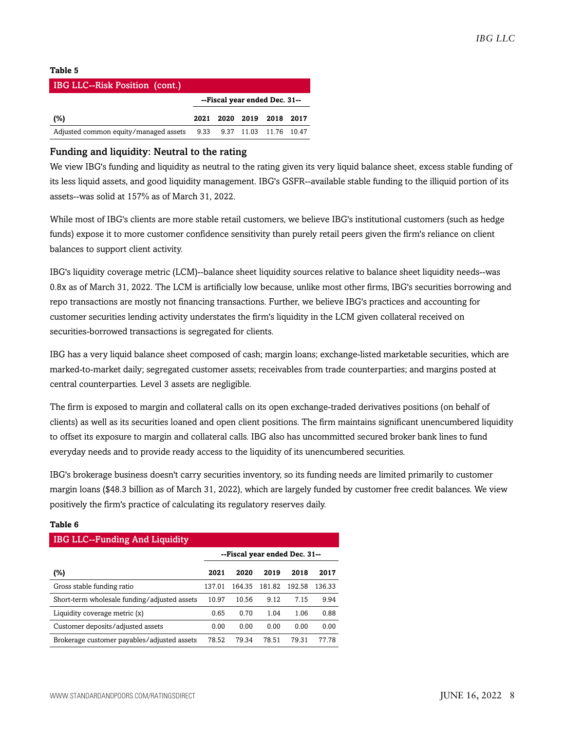#### **Table 5**

| <b>IBG LLC--Risk Position (cont.)</b> |  |                               |  |
|---------------------------------------|--|-------------------------------|--|
|                                       |  | --Fiscal year ended Dec. 31-- |  |
| (%)                                   |  | 2021 2020 2019 2018 2017      |  |
| Adjusted common equity/managed assets |  | 9.33 9.37 11.03 11.76 10.47   |  |

#### Funding and liquidity: Neutral to the rating

We view IBG's funding and liquidity as neutral to the rating given its very liquid balance sheet, excess stable funding of its less liquid assets, and good liquidity management. IBG's GSFR--available stable funding to the illiquid portion of its assets--was solid at 157% as of March 31, 2022.

While most of IBG's clients are more stable retail customers, we believe IBG's institutional customers (such as hedge funds) expose it to more customer confidence sensitivity than purely retail peers given the firm's reliance on client balances to support client activity.

IBG's liquidity coverage metric (LCM)--balance sheet liquidity sources relative to balance sheet liquidity needs--was 0.8x as of March 31, 2022. The LCM is artificially low because, unlike most other firms, IBG's securities borrowing and repo transactions are mostly not financing transactions. Further, we believe IBG's practices and accounting for customer securities lending activity understates the firm's liquidity in the LCM given collateral received on securities-borrowed transactions is segregated for clients.

IBG has a very liquid balance sheet composed of cash; margin loans; exchange-listed marketable securities, which are marked-to-market daily; segregated customer assets; receivables from trade counterparties; and margins posted at central counterparties. Level 3 assets are negligible.

The firm is exposed to margin and collateral calls on its open exchange-traded derivatives positions (on behalf of clients) as well as its securities loaned and open client positions. The firm maintains significant unencumbered liquidity to offset its exposure to margin and collateral calls. IBG also has uncommitted secured broker bank lines to fund everyday needs and to provide ready access to the liquidity of its unencumbered securities.

IBG's brokerage business doesn't carry securities inventory, so its funding needs are limited primarily to customer margin loans (\$48.3 billion as of March 31, 2022), which are largely funded by customer free credit balances. We view positively the firm's practice of calculating its regulatory reserves daily.

## IBG LLC--Funding And Liquidity **--Fiscal year ended Dec. 31-- (%) 2021 2020 2019 2018 2017** Gross stable funding ratio 137.01 164.35 181.82 192.58 136.33 Short-term wholesale funding/adjusted assets 10.97 10.56 9.12 7.15 9.94 Liquidity coverage metric (x) 0.65 0.70 1.04 1.06 0.88 Customer deposits/adjusted assets 0.00 0.00 0.00 0.00 0.00 Brokerage customer payables/adjusted assets 78.52 79.34 78.51 79.31 77.78

#### **Table 6**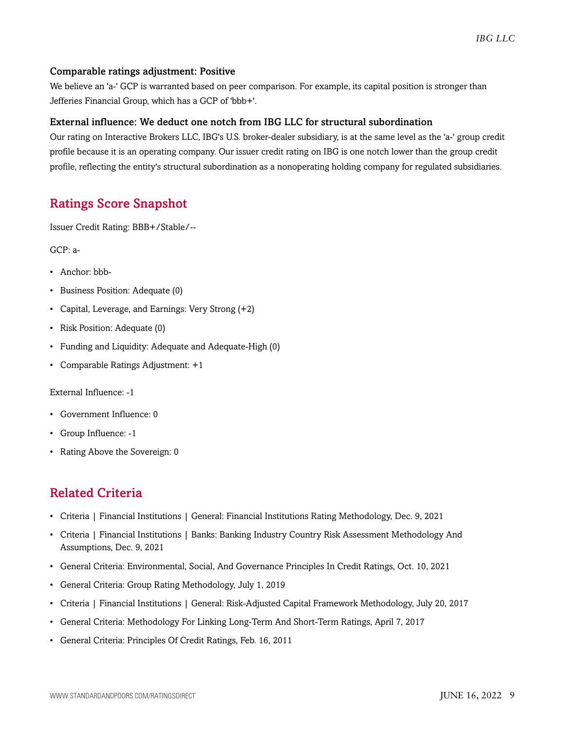#### Comparable ratings adjustment: Positive

We believe an 'a-' GCP is warranted based on peer comparison. For example, its capital position is stronger than Jefferies Financial Group, which has a GCP of 'bbb+'.

#### External influence: We deduct one notch from IBG LLC for structural subordination

Our rating on Interactive Brokers LLC, IBG's U.S. broker-dealer subsidiary, is at the same level as the 'a-' group credit profile because it is an operating company. Our issuer credit rating on IBG is one notch lower than the group credit profile, reflecting the entity's structural subordination as a nonoperating holding company for regulated subsidiaries.

## <span id="page-8-0"></span>Ratings Score Snapshot

Issuer Credit Rating: BBB+/Stable/--

GCP: a-

- Anchor: bbb-
- Business Position: Adequate (0)
- Capital, Leverage, and Earnings: Very Strong (+2)
- Risk Position: Adequate (0)
- Funding and Liquidity: Adequate and Adequate-High (0)
- Comparable Ratings Adjustment: +1

#### External Influence: -1

- Government Influence: 0
- Group Influence: -1
- Rating Above the Sovereign: 0

## <span id="page-8-1"></span>Related Criteria

- Criteria | Financial Institutions | General: Financial Institutions Rating Methodology, Dec. 9, 2021
- Criteria | Financial Institutions | Banks: Banking Industry Country Risk Assessment Methodology And Assumptions, Dec. 9, 2021
- General Criteria: Environmental, Social, And Governance Principles In Credit Ratings, Oct. 10, 2021
- General Criteria: Group Rating Methodology, July 1, 2019
- Criteria | Financial Institutions | General: Risk-Adjusted Capital Framework Methodology, July 20, 2017
- General Criteria: Methodology For Linking Long-Term And Short-Term Ratings, April 7, 2017
- General Criteria: Principles Of Credit Ratings, Feb. 16, 2011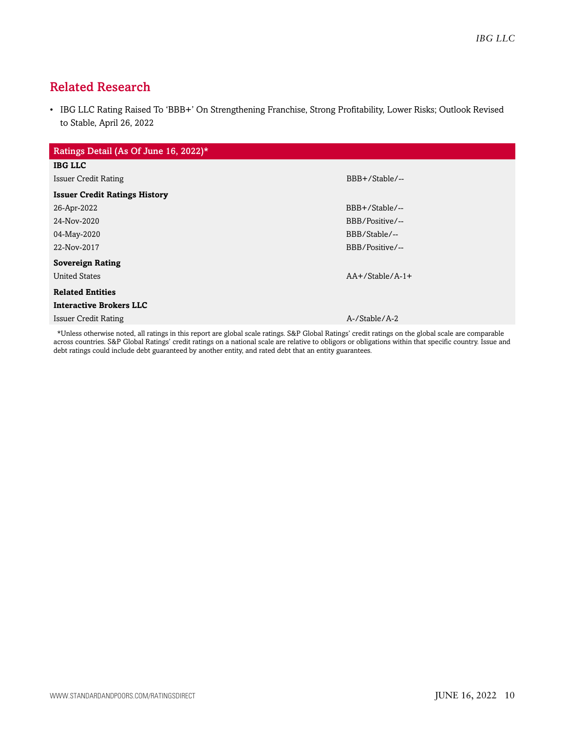## <span id="page-9-0"></span>Related Research

• IBG LLC Rating Raised To 'BBB+' On Strengthening Franchise, Strong Profitability, Lower Risks; Outlook Revised to Stable, April 26, 2022

| Ratings Detail (As Of June 16, 2022)*                                                                                 |                   |
|-----------------------------------------------------------------------------------------------------------------------|-------------------|
| <b>IBG LLC</b>                                                                                                        |                   |
| <b>Issuer Credit Rating</b>                                                                                           | BBB+/Stable/--    |
| <b>Issuer Credit Ratings History</b>                                                                                  |                   |
| 26-Apr-2022                                                                                                           | BBB+/Stable/--    |
| 24-Nov-2020                                                                                                           | BBB/Positive/--   |
| 04-May-2020                                                                                                           | BBB/Stable/--     |
| 22-Nov-2017                                                                                                           | BBB/Positive/--   |
| <b>Sovereign Rating</b>                                                                                               |                   |
| <b>United States</b>                                                                                                  | $AA+/Stable/A-1+$ |
| <b>Related Entities</b>                                                                                               |                   |
| <b>Interactive Brokers LLC</b>                                                                                        |                   |
| <b>Issuer Credit Rating</b>                                                                                           | A-/Stable/A-2     |
| .<br>in the second contract of the second contract of the second contract of the second contract of the second second |                   |

\*Unless otherwise noted, all ratings in this report are global scale ratings. S&P Global Ratings' credit ratings on the global scale are comparable across countries. S&P Global Ratings' credit ratings on a national scale are relative to obligors or obligations within that specific country. Issue and debt ratings could include debt guaranteed by another entity, and rated debt that an entity guarantees.